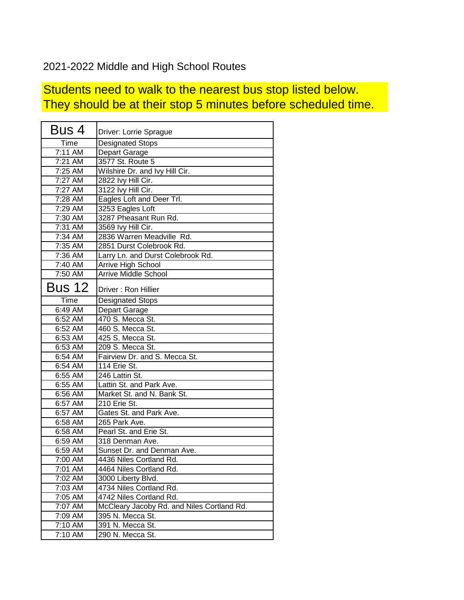## 2021-2022 Middle and High School Routes

## Students need to walk to the nearest bus stop listed below. They should be at their stop 5 minutes before scheduled time.

| Bus 4         | Driver: Lorrie Sprague                     |
|---------------|--------------------------------------------|
| Time          | <b>Designated Stops</b>                    |
| 7:11 AM       | Depart Garage                              |
| $7:21$ AM     | 3577 St. Route 5                           |
| 7:25 AM       | Wilshire Dr. and Ivy Hill Cir.             |
| 7:27 AM       | 2822 Ivy Hill Cir.                         |
| 7:27 AM       | 3122 Ivy Hill Cir.                         |
| 7:28 AM       | Eagles Loft and Deer Trl.                  |
| 7:29 AM       | 3253 Eagles Loft                           |
| $7:30$ AM     | 3287 Pheasant Run Rd.                      |
| 7:31 AM       | 3569 Ivy Hill Cir.                         |
| 7:34 AM       | 2836 Warren Meadville Rd.                  |
| 7:35 AM       | 2851 Durst Colebrook Rd.                   |
| 7:36 AM       | Larry Ln. and Durst Colebrook Rd.          |
| 7:40 AM       | Arrive High School                         |
| 7:50 AM       | <b>Arrive Middle School</b>                |
| <b>Bus 12</b> | Driver: Ron Hillier                        |
| Time          | <b>Designated Stops</b>                    |
| 6:49 AM       | Depart Garage                              |
| 6:52 AM       | 470 S. Mecca St.                           |
| 6:52 AM       | 460 S. Mecca St.                           |
| 6:53 AM       | 425 S. Mecca St.                           |
| 6:53 AM       | 209 S. Mecca St.                           |
| 6:54 AM       | Fairview Dr. and S. Mecca St.              |
| 6:54 AM       | 114 Erie St.                               |
| 6:55 AM       | 246 Lattin St.                             |
| 6:55 AM       | Lattin St. and Park Ave.                   |
| 6:56 AM       | Market St. and N. Bank St.                 |
| 6:57 AM       | 210 Erie St.                               |
| 6:57 AM       | Gates St. and Park Ave.                    |
| 6:58 AM       | 265 Park Ave.                              |
| 6:58 AM       | Pearl St. and Erie St.                     |
| 6:59 AM       | 318 Denman Ave.                            |
| 6:59 AM       | Sunset Dr. and Denman Ave.                 |
| 7:00 AM       | 4436 Niles Cortland Rd.                    |
| 7:01 AM       | 4464 Niles Cortland Rd.                    |
| 7:02 AM       | 3000 Liberty Blvd.                         |
| 7:03 AM       | 4734 Niles Cortland Rd.                    |
| 7:05 AM       | 4742 Niles Cortland Rd.                    |
| 7:07 AM       | McCleary Jacoby Rd. and Niles Cortland Rd. |
| 7:09 AM       | 395 N. Mecca St.                           |
| 7:10 AM       | 391 N. Mecca St.                           |
| 7:10 AM       | 290 N. Mecca St.                           |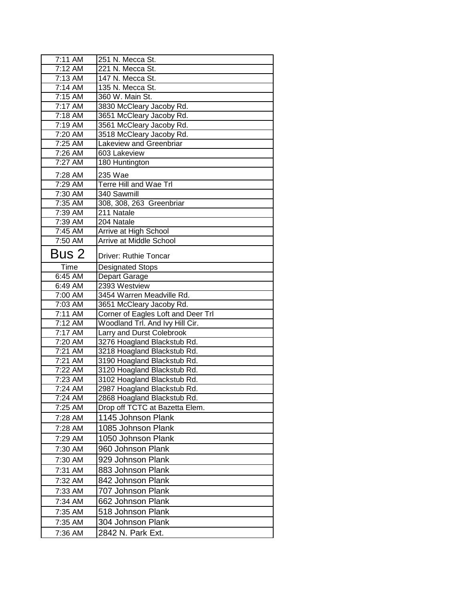| 7:11 AM              | 251 N. Mecca St.                   |
|----------------------|------------------------------------|
| 7:12 AM              | 221 N. Mecca St.                   |
| 7:13 AM              | 147 N. Mecca St.                   |
| 7:14 AM              | 135 N. Mecca St.                   |
| 7:15 AM              | 360 W. Main St.                    |
| 7:17 AM              | 3830 McCleary Jacoby Rd.           |
| 7:18 AM              | 3651 McCleary Jacoby Rd.           |
| $7:19$ AM            | 3561 McCleary Jacoby Rd.           |
| 7:20 AM              | 3518 McCleary Jacoby Rd.           |
| 7:25 AM              | Lakeview and Greenbriar            |
| 7:26 AM              | 603 Lakeview                       |
| 7:27 AM              | 180 Huntington                     |
| 7:28 AM              | 235 Wae                            |
| 7:29 AM              | Terre Hill and Wae Trl             |
| 7:30 AM              | 340 Sawmill                        |
| 7:35 AM              | 308, 308, 263 Greenbriar           |
| $\overline{7:}39$ AM | 211 Natale                         |
| $\overline{7:}39$ AM | 204 Natale                         |
| 7:45 AM              | Arrive at High School              |
| 7:50 AM              | Arrive at Middle School            |
| Bus 2                | Driver: Ruthie Toncar              |
| Time                 | <b>Designated Stops</b>            |
| 6:45 AM              | Depart Garage                      |
| 6:49 AM              | 2393 Westview                      |
| 7:00 AM              | 3454 Warren Meadville Rd.          |
| 7:03 AM              | 3651 McCleary Jacoby Rd.           |
| 7:11 AM              | Corner of Eagles Loft and Deer Trl |
| 7:12 AM              | Woodland Trl. And Ivy Hill Cir.    |
| 7:17 AM              | Larry and Durst Colebrook          |
| 7:20 AM              | 3276 Hoagland Blackstub Rd.        |
| 7:21 AM              | 3218 Hoagland Blackstub Rd.        |
| 7:21 AM              | 3190 Hoagland Blackstub Rd.        |
| 7:22 AM              | 3120 Hoagland Blackstub Rd.        |
| 7:23 AM              | 3102 Hoagland Blackstub Rd.        |
| 7:24 AM              | 2987 Hoagland Blackstub Rd.        |
| 7:24 AM              | 2868 Hoagland Blackstub Rd.        |
| 7:25 AM              | Drop off TCTC at Bazetta Elem.     |
| 7:28 AM              | 1145 Johnson Plank                 |
| 7:28 AM              | 1085 Johnson Plank                 |
| 7:29 AM              | 1050 Johnson Plank                 |
| 7:30 AM              | 960 Johnson Plank                  |
| 7:30 AM              | 929 Johnson Plank                  |
| 7:31 AM              | 883 Johnson Plank                  |
| 7:32 AM              | 842 Johnson Plank                  |
| 7:33 AM              | 707 Johnson Plank                  |
| 7:34 AM              | 662 Johnson Plank                  |
| 7:35 AM              | 518 Johnson Plank                  |
| 7:35 AM              | 304 Johnson Plank                  |
|                      |                                    |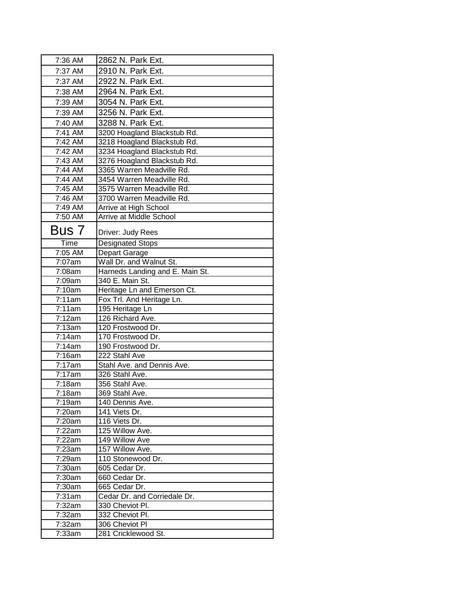| 7:36 AM            | 2862 N. Park Ext.                                          |
|--------------------|------------------------------------------------------------|
| 7:37 AM            | 2910 N. Park Ext.                                          |
| 7:37 AM            | 2922 N. Park Ext.                                          |
| 7:38 AM            | 2964 N. Park Ext.                                          |
| 7:39 AM            | 3054 N. Park Ext.                                          |
| 7:39 AM            | 3256 N. Park Ext.                                          |
|                    |                                                            |
| 7:40 AM            | 3288 N. Park Ext.                                          |
| 7:41 AM            | 3200 Hoagland Blackstub Rd.                                |
| 7:42 AM<br>7:42 AM | 3218 Hoagland Blackstub Rd.                                |
| 7:43 AM            | 3234 Hoagland Blackstub Rd.<br>3276 Hoagland Blackstub Rd. |
| 7:44 AM            | 3365 Warren Meadville Rd.                                  |
| 7:44 AM            | 3454 Warren Meadville Rd.                                  |
| 7:45 AM            | 3575 Warren Meadville Rd.                                  |
| 7:46 AM            | 3700 Warren Meadville Rd.                                  |
| 7:49 AM            | Arrive at High School                                      |
| 7:50 AM            | Arrive at Middle School                                    |
|                    |                                                            |
| Bus 7              | Driver: Judy Rees                                          |
| Time               | <b>Designated Stops</b>                                    |
| 7:05 AM            | Depart Garage                                              |
| 7:07am             | Wall Dr. and Walnut St.                                    |
| 7:08am             | Harneds Landing and E. Main St.                            |
| 7:09am             | 340 E. Main St.                                            |
| 7:10am             | Heritage Ln and Emerson Ct.                                |
| 7:11am             | Fox Trl. And Heritage Ln.                                  |
| 7:11am             | 195 Heritage Ln                                            |
| 7:12am             | 126 Richard Ave.                                           |
| 7:13am             | 120 Frostwood Dr.                                          |
| 7:14am             | 170 Frostwood Dr.                                          |
| 7:14am             | 190 Frostwood Dr.                                          |
| 7:16am<br>7:17am   | 222 Stahl Ave<br>Stahl Ave. and Dennis Ave.                |
| 7:17am             | 326 Stahl Ave.                                             |
| 7:18am             | 356 Stahl Ave.                                             |
| 7:18am             | 369 Stahl Ave.                                             |
| 7:19am             | 140 Dennis Ave.                                            |
| 7:20am             | 141 Viets Dr.                                              |
| 7:20am             | 116 Viets Dr.                                              |
| 7:22am             | 125 Willow Ave.                                            |
| 7:22am             | 149 Willow Ave                                             |
| 7:23am             | 157 Willow Ave.                                            |
| 7:29am             | 110 Stonewood Dr.                                          |
| 7:30am             | 605 Cedar Dr.                                              |
| 7:30am             | 660 Cedar Dr.                                              |
| 7:30am             | 665 Cedar Dr.                                              |
| 7:31am             | Cedar Dr. and Corriedale Dr.                               |
| 7:32am             | 330 Cheviot Pl.                                            |
| 7:32am             | 332 Cheviot Pl.                                            |
| 7:32am             | 306 Cheviot PI                                             |
| 7:33am             | 281 Cricklewood St.                                        |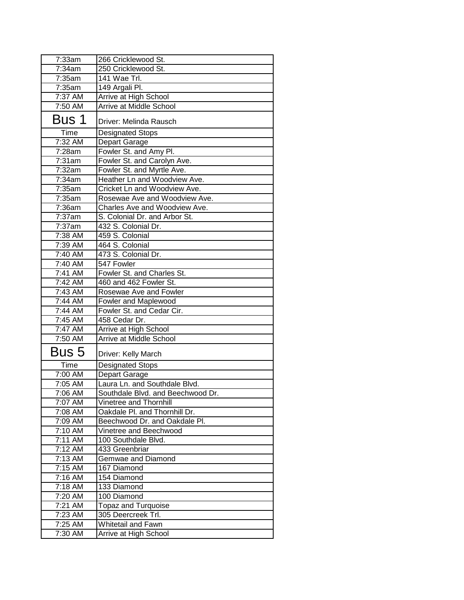| 7:33am  | 266 Cricklewood St.               |
|---------|-----------------------------------|
| 7:34am  | 250 Cricklewood St.               |
| 7:35am  | 141 Wae Trl.                      |
| 7:35am  | 149 Argali Pl.                    |
| 7:37 AM | Arrive at High School             |
| 7:50 AM | Arrive at Middle School           |
| Bus 1   | Driver: Melinda Rausch            |
| Time    | <b>Designated Stops</b>           |
| 7:32 AM | Depart Garage                     |
| 7:28am  | Fowler St. and Amy Pl.            |
| 7:31am  | Fowler St. and Carolyn Ave.       |
| 7:32am  | Fowler St. and Myrtle Ave.        |
| 7:34am  | Heather Ln and Woodview Ave.      |
| 7:35am  | Cricket Ln and Woodview Ave.      |
| 7:35am  | Rosewae Ave and Woodview Ave.     |
| 7:36am  | Charles Ave and Woodview Ave.     |
| 7:37am  | S. Colonial Dr. and Arbor St.     |
| 7:37am  | 432 S. Colonial Dr.               |
| 7:38 AM | 459 S. Colonial                   |
| 7:39 AM | 464 S. Colonial                   |
| 7:40 AM | 473 S. Colonial Dr.               |
| 7:40 AM | 547 Fowler                        |
| 7:41 AM | Fowler St. and Charles St.        |
| 7:42 AM | 460 and 462 Fowler St.            |
| 7:43 AM | Rosewae Ave and Fowler            |
| 7:44 AM | Fowler and Maplewood              |
| 7:44 AM | Fowler St. and Cedar Cir.         |
| 7:45 AM | 458 Cedar Dr.                     |
| 7:47 AM | Arrive at High School             |
| 7:50 AM | Arrive at Middle School           |
| Bus 5   | Driver: Kelly March               |
| Time    | <b>Designated Stops</b>           |
| 7:00 AM | Depart Garage                     |
| 7:05 AM | Laura Ln. and Southdale Blvd.     |
| 7:06 AM | Southdale Blvd. and Beechwood Dr. |
| 7:07 AM | Vinetree and Thornhill            |
| 7:08 AM | Oakdale Pl. and Thornhill Dr.     |
| 7:09 AM | Beechwood Dr. and Oakdale Pl.     |
| 7:10 AM | Vinetree and Beechwood            |
| 7:11 AM | 100 Southdale Blvd.               |
| 7:12 AM | 433 Greenbriar                    |
| 7:13 AM | Gemwae and Diamond                |
| 7:15 AM | 167 Diamond                       |
| 7:16 AM | 154 Diamond                       |
| 7:18 AM | 133 Diamond                       |
| 7:20 AM | 100 Diamond                       |
| 7:21 AM | <b>Topaz and Turquoise</b>        |
| 7:23 AM | 305 Deercreek Trl.                |
| 7:25 AM | Whitetail and Fawn                |
| 7:30 AM | Arrive at High School             |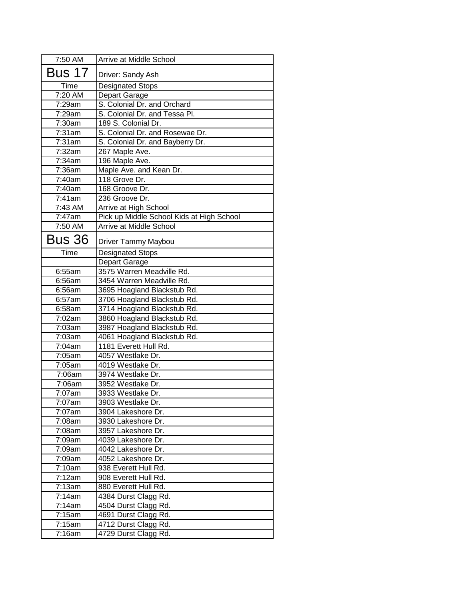| 7:50 AM       | Arrive at Middle School                   |
|---------------|-------------------------------------------|
| <b>Bus 17</b> | Driver: Sandy Ash                         |
| Time          | <b>Designated Stops</b>                   |
| 7:20 AM       | Depart Garage                             |
| 7:29am        | S. Colonial Dr. and Orchard               |
| 7:29am        | S. Colonial Dr. and Tessa Pl.             |
| 7:30am        | 189 S. Colonial Dr.                       |
| 7:31am        | S. Colonial Dr. and Rosewae Dr.           |
| 7:31am        | S. Colonial Dr. and Bayberry Dr.          |
| 7:32am        | 267 Maple Ave.                            |
| 7:34am        | 196 Maple Ave.                            |
| 7:36am        | Maple Ave. and Kean Dr.                   |
| 7:40am        | 118 Grove Dr.                             |
| 7:40am        | 168 Groove Dr.                            |
| 7:41am        | 236 Groove Dr.                            |
| 7:43 AM       | Arrive at High School                     |
| 7:47am        | Pick up Middle School Kids at High School |
| 7:50 AM       | Arrive at Middle School                   |
| Bus 36        | Driver Tammy Maybou                       |
| Time          | <b>Designated Stops</b>                   |
|               | Depart Garage                             |
| 6:55am        | 3575 Warren Meadville Rd.                 |
| 6:56am        | 3454 Warren Meadville Rd.                 |
| 6:56am        | 3695 Hoagland Blackstub Rd.               |
| 6:57am        | 3706 Hoagland Blackstub Rd.               |
| 6:58am        | 3714 Hoagland Blackstub Rd.               |
| 7:02am        | 3860 Hoagland Blackstub Rd.               |
| 7:03am        | 3987 Hoagland Blackstub Rd.               |
| 7:03am        | 4061 Hoagland Blackstub Rd.               |
| 7:04am        | 1181 Everett Hull Rd.                     |
| 7:05am        | 4057 Westlake Dr.                         |
| 7:05am        | 4019 Westlake Dr.                         |
| 7:06am        | 3974 Westlake Dr.                         |
| 7:06am        | 3952 Westlake Dr.                         |
| 7:07am        | 3933 Westlake Dr.                         |
| 7:07am        | 3903 Westlake Dr.                         |
| 7:07am        | 3904 Lakeshore Dr.                        |
| 7:08am        | 3930 Lakeshore Dr.                        |
| 7:08am        | 3957 Lakeshore Dr.                        |
| 7:09am        | 4039 Lakeshore Dr.                        |
| 7:09am        | 4042 Lakeshore Dr.                        |
| 7:09am        | 4052 Lakeshore Dr.                        |
| 7:10am        | 938 Everett Hull Rd.                      |
| 7:12am        | 908 Everett Hull Rd.                      |
| 7:13am        | 880 Everett Hull Rd.                      |
| 7:14am        | 4384 Durst Clagg Rd.                      |
| 7:14am        | 4504 Durst Clagg Rd.                      |
| 7:15am        | 4691 Durst Clagg Rd.                      |
| 7:15am        | 4712 Durst Clagg Rd.                      |
| 7:16am        | 4729 Durst Clagg Rd.                      |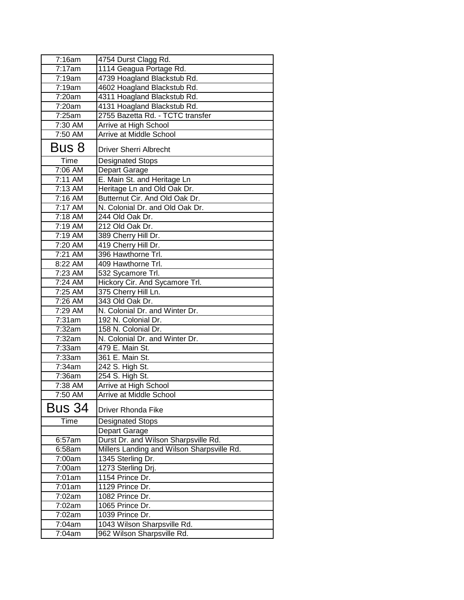| 7:16am                | 4754 Durst Clagg Rd.                       |
|-----------------------|--------------------------------------------|
| 7:17am                | 1114 Geagua Portage Rd.                    |
| 7:19am                | 4739 Hoagland Blackstub Rd.                |
| 7:19am                | 4602 Hoagland Blackstub Rd.                |
| 7:20am                | 4311 Hoagland Blackstub Rd.                |
| 7:20am                | 4131 Hoagland Blackstub Rd.                |
| 7:25am                | 2755 Bazetta Rd. - TCTC transfer           |
| 7:30 AM               | Arrive at High School                      |
| 7:50 AM               | Arrive at Middle School                    |
| Bus 8                 | <b>Driver Sherri Albrecht</b>              |
| Time                  | <b>Designated Stops</b>                    |
| 7:06 AM               | Depart Garage                              |
| 7:11 AM               | E. Main St. and Heritage Ln                |
| 7:13 AM               | Heritage Ln and Old Oak Dr.                |
| 7:16 AM               | Butternut Cir. And Old Oak Dr.             |
| 7:17 AM               | N. Colonial Dr. and Old Oak Dr.            |
| $\overline{7}$ :18 AM | 244 Old Oak Dr.                            |
| 7:19 AM               | 212 Old Oak Dr.                            |
| 7:19 AM               | 389 Cherry Hill Dr.                        |
| 7:20 AM               | 419 Cherry Hill Dr.                        |
| 7:21 AM               | 396 Hawthorne Trl.                         |
| 8:22 AM               | 409 Hawthorne Trl.                         |
| 7:23 AM               | 532 Sycamore Trl.                          |
| 7:24 AM               | Hickory Cir. And Sycamore Trl.             |
| 7:25 AM               | 375 Cherry Hill Ln.                        |
| 7:26 AM               | 343 Old Oak Dr.                            |
| 7:29 AM               | N. Colonial Dr. and Winter Dr.             |
| 7:31am                | 192 N. Colonial Dr.                        |
| 7:32am                | 158 N. Colonial Dr.                        |
| 7:32am                | N. Colonial Dr. and Winter Dr.             |
| 7:33am                | 479 E. Main St.                            |
| 7:33am                | 361 E. Main St.                            |
| $\overline{7}$ :34am  | 242 S. High St.                            |
| 7:36am                | 254 S. High St.                            |
| 7:38 AM               | Arrive at High School                      |
| 7:50 AM               | <b>Arrive at Middle School</b>             |
| <b>Bus 34</b>         | <b>Driver Rhonda Fike</b>                  |
| Time                  | <b>Designated Stops</b>                    |
|                       | Depart Garage                              |
| 6:57am                | Durst Dr. and Wilson Sharpsville Rd.       |
| 6:58am                | Millers Landing and Wilson Sharpsville Rd. |
| 7:00am                | 1345 Sterling Dr.                          |
| 7:00am                | 1273 Sterling Drj.                         |
| 7:01am                | 1154 Prince Dr.                            |
| 7:01am                | 1129 Prince Dr.                            |
| 7:02am                | 1082 Prince Dr.                            |
| 7:02am                | 1065 Prince Dr.                            |
| 7:02am                | 1039 Prince Dr.                            |
| 7:04am                | 1043 Wilson Sharpsville Rd.                |
| 7:04am                | 962 Wilson Sharpsville Rd.                 |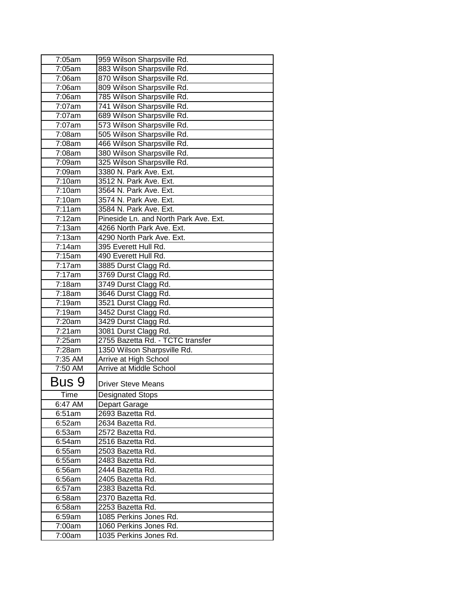| 7:05am  | 959 Wilson Sharpsville Rd.                       |
|---------|--------------------------------------------------|
| 7:05am  | 883 Wilson Sharpsville Rd.                       |
| 7:06am  | 870 Wilson Sharpsville Rd.                       |
| 7:06am  | 809 Wilson Sharpsville Rd.                       |
| 7:06am  | 785 Wilson Sharpsville Rd.                       |
| 7:07am  | 741 Wilson Sharpsville Rd.                       |
| 7:07am  | 689 Wilson Sharpsville Rd.                       |
| 7:07am  | 573 Wilson Sharpsville Rd.                       |
| 7:08am  | 505 Wilson Sharpsville Rd.                       |
| 7:08am  | 466 Wilson Sharpsville Rd.                       |
| 7:08am  | 380 Wilson Sharpsville Rd.                       |
| 7:09am  | 325 Wilson Sharpsville Rd.                       |
| 7:09am  | 3380 N. Park Ave. Ext.                           |
| 7:10am  | 3512 N. Park Ave. Ext.                           |
| 7:10am  | 3564 N. Park Ave. Ext.                           |
| 7:10am  | 3574 N. Park Ave. Ext.                           |
| 7:11am  | 3584 N. Park Ave. Ext.                           |
| 7:12am  | Pineside Ln. and North Park Ave. Ext.            |
| 7:13am  | 4266 North Park Ave. Ext.                        |
| 7:13am  | 4290 North Park Ave. Ext.                        |
| 7:14am  | 395 Everett Hull Rd.                             |
| 7:15am  | 490 Everett Hull Rd.                             |
| 7:17am  | 3885 Durst Clagg Rd.                             |
| 7:17am  | 3769 Durst Clagg Rd.                             |
| 7:18am  | 3749 Durst Clagg Rd.                             |
| 7:18am  | 3646 Durst Clagg Rd.                             |
| 7:19am  | 3521 Durst Clagg Rd.                             |
| 7:19am  | 3452 Durst Clagg Rd.                             |
| 7:20am  | 3429 Durst Clagg Rd.                             |
| 7:21am  | 3081 Durst Clagg Rd.                             |
| 7:25am  | 2755 Bazetta Rd. - TCTC transfer                 |
| 7:28am  | 1350 Wilson Sharpsville Rd.                      |
| 7:35 AM | Arrive at High School                            |
| 7:50 AM | <b>Arrive at Middle School</b>                   |
|         |                                                  |
| Bus 9   | <b>Driver Steve Means</b>                        |
| Time    | <b>Designated Stops</b>                          |
| 6:47 AM | Depart Garage                                    |
| 6:51am  | 2693 Bazetta Rd.                                 |
| 6:52am  | 2634 Bazetta Rd.                                 |
| 6:53am  | 2572 Bazetta Rd.                                 |
| 6:54am  | 2516 Bazetta Rd.                                 |
| 6:55am  | 2503 Bazetta Rd.                                 |
| 6:55am  | 2483 Bazetta Rd.                                 |
| 6:56am  | 2444 Bazetta Rd.                                 |
| 6:56am  | 2405 Bazetta Rd.                                 |
| 6:57am  | 2383 Bazetta Rd.                                 |
| 6:58am  | 2370 Bazetta Rd.                                 |
| 6:58am  | 2253 Bazetta Rd.                                 |
|         |                                                  |
| 6:59am  | 1085 Perkins Jones Rd.                           |
| 7:00am  | 1060 Perkins Jones Rd.<br>1035 Perkins Jones Rd. |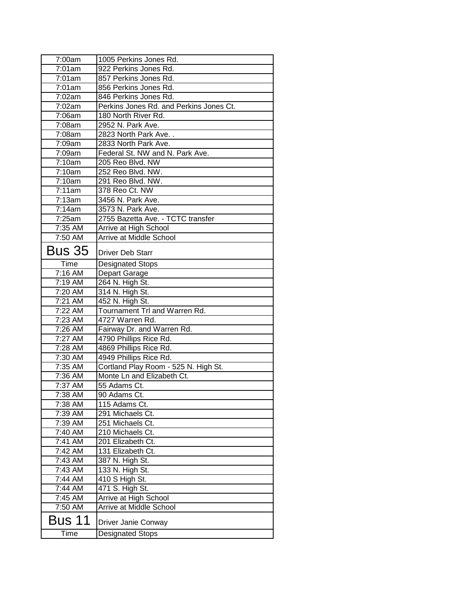| 7:00am        | 1005 Perkins Jones Rd.                  |
|---------------|-----------------------------------------|
| 7:01am        | 922 Perkins Jones Rd.                   |
| 7:01am        | 857 Perkins Jones Rd.                   |
| 7:01am        | 856 Perkins Jones Rd.                   |
| 7:02am        | 846 Perkins Jones Rd.                   |
| 7:02am        | Perkins Jones Rd. and Perkins Jones Ct. |
| 7:06am        | 180 North River Rd.                     |
| 7:08am        | 2952 N. Park Ave.                       |
| 7:08am        | 2823 North Park Ave                     |
| 7:09am        | 2833 North Park Ave.                    |
| 7:09am        | Federal St. NW and N. Park Ave.         |
| 7:10am        | 205 Reo Blvd. NW                        |
| 7:10am        | 252 Reo Blvd. NW.                       |
| 7:10am        | 291 Reo Blvd. NW.                       |
| 7:11am        | 378 Reo Ct. NW                          |
| 7:13am        | 3456 N. Park Ave.                       |
| 7:14am        | 3573 N. Park Ave.                       |
| 7:25am        | 2755 Bazetta Ave. - TCTC transfer       |
| 7:35 AM       | Arrive at High School                   |
| 7:50 AM       | Arrive at Middle School                 |
| <b>Bus 35</b> | <b>Driver Deb Starr</b>                 |
| Time          | Designated Stops                        |
| 7:16 AM       | Depart Garage                           |
| 7:19 AM       | 264 N. High St.                         |
| 7:20 AM       | 314 N. High St.                         |
| 7:21 AM       | 452 N. High St.                         |
| 7:22 AM       | Tournament Trl and Warren Rd.           |
| 7:23 AM       | 4727 Warren Rd.                         |
| 7:26 AM       | Fairway Dr. and Warren Rd.              |
| 7:27 AM       | 4790 Phillips Rice Rd.                  |
| 7:28 AM       | 4869 Phillips Rice Rd.                  |
| 7:30 AM       | 4949 Phillips Rice Rd.                  |
| 7:35 AM       | Cortland Play Room - 525 N. High St.    |
| 7:36 AM       | Monte Ln and Elizabeth Ct.              |
| 7:37 AM       | 55 Adams Ct.                            |
| 7:38 AM       | 90 Adams Ct.                            |
| 7:38 AM       | 115 Adams Ct.                           |
| 7:39 AM       | 291 Michaels Ct.                        |
| 7:39 AM       | 251 Michaels Ct.                        |
| 7:40 AM       | 210 Michaels Ct.                        |
| 7:41 AM       | 201 Elizabeth Ct.                       |
| 7:42 AM       | 131 Elizabeth Ct.                       |
| 7:43 AM       | 387 N. High St.                         |
| 7:43 AM       | 133 N. High St.                         |
| 7:44 AM       | 410 S High St.                          |
| 7:44 AM       | 471 S. High St.                         |
| 7:45 AM       | Arrive at High School                   |
| 7:50 AM       | Arrive at Middle School                 |
| Bus 11        | Driver Janie Conway                     |
| Time          | <b>Designated Stops</b>                 |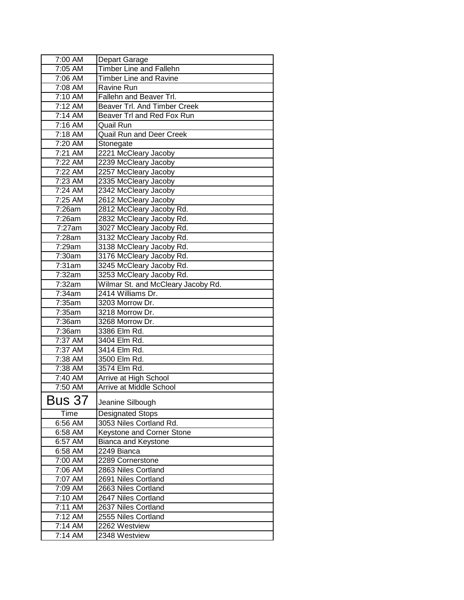| 7:00 AM                      | Depart Garage                       |
|------------------------------|-------------------------------------|
| 7:05 AM                      | <b>Timber Line and Fallehn</b>      |
| 7:06 AM                      | Timber Line and Ravine              |
| 7:08 AM                      | Ravine Run                          |
| 7:10 AM                      | Fallehn and Beaver Trl.             |
| 7:12 AM                      | <b>Beaver Trl. And Timber Creek</b> |
| 7:14 AM                      | Beaver Trl and Red Fox Run          |
| 7:16 AM                      | Quail Run                           |
| 7:18 AM                      | <b>Quail Run and Deer Creek</b>     |
| 7:20 AM                      | Stonegate                           |
| 7:21 AM                      | 2221 McCleary Jacoby                |
| 7:22 AM                      | 2239 McCleary Jacoby                |
| 7:22 AM                      | 2257 McCleary Jacoby                |
| 7:23 AM                      | 2335 McCleary Jacoby                |
| 7:24 AM                      | 2342 McCleary Jacoby                |
| 7:25 AM                      | 2612 McCleary Jacoby                |
| 7:26am                       | 2812 McCleary Jacoby Rd.            |
| 7:26am                       | 2832 McCleary Jacoby Rd.            |
| 7:27am                       | 3027 McCleary Jacoby Rd.            |
| 7:28am                       | 3132 McCleary Jacoby Rd.            |
| 7:29am                       | 3138 McCleary Jacoby Rd.            |
| 7:30am                       | 3176 McCleary Jacoby Rd.            |
| 7:31am                       | 3245 McCleary Jacoby Rd.            |
| 7:32am                       | 3253 McCleary Jacoby Rd.            |
| 7:32am                       | Wilmar St. and McCleary Jacoby Rd.  |
| 7:34am                       | 2414 Williams Dr.                   |
| 7:35am                       | 3203 Morrow Dr.                     |
| 7:35am                       | 3218 Morrow Dr.                     |
| 7:36am                       | 3268 Morrow Dr.                     |
| 7:36am                       | 3386 Elm Rd.                        |
| 7:37 AM                      | 3404 Elm Rd.                        |
| 7:37 AM                      | 3414 Elm Rd.                        |
| 7:38 AM                      | 3500 Elm Rd.                        |
| 7:38 AM                      | 3574 Elm Rd.                        |
| 7:40 AM                      | Arrive at High School               |
| $7:50$ AM                    | <b>Arrive at Middle School</b>      |
| <b>Bus 37</b>                | Jeanine Silbough                    |
| Time                         | <b>Designated Stops</b>             |
| 6:56 AM                      | 3053 Niles Cortland Rd.             |
| 6:58 AM                      | Keystone and Corner Stone           |
| 6:57 AM                      | Bianca and Keystone                 |
| 6:58 AM                      | 2249 Bianca                         |
| 7:00 AM                      | 2289 Cornerstone                    |
| 7:06 AM                      | 2863 Niles Cortland                 |
| 7:07 AM                      | 2691 Niles Cortland                 |
| 7:09 AM                      | 2663 Niles Cortland                 |
| 7:10 AM                      | 2647 Niles Cortland                 |
| 7:11 AM                      | 2637 Niles Cortland                 |
| $\overline{7:}12 \text{ AM}$ | 2555 Niles Cortland                 |
| 7:14 AM                      | 2262 Westview                       |
|                              |                                     |